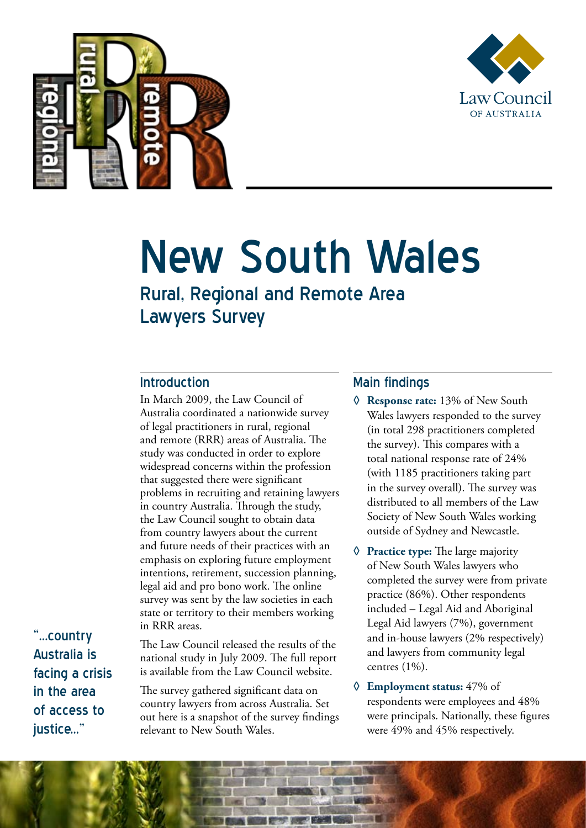



## New South Wales

Rural, Regional and Remote Area Lawyers Survey

## Introduction

In March 2009, the Law Council of Australia coordinated a nationwide survey of legal practitioners in rural, regional and remote (RRR) areas of Australia. The study was conducted in order to explore widespread concerns within the profession that suggested there were significant problems in recruiting and retaining lawyers in country Australia. Through the study, the Law Council sought to obtain data from country lawyers about the current and future needs of their practices with an emphasis on exploring future employment intentions, retirement, succession planning, legal aid and pro bono work. The online survey was sent by the law societies in each state or territory to their members working in RRR areas.

"...country Australia is facing a crisis in the area of access to iustice..."

The Law Council released the results of the national study in July 2009. The full report is available from the Law Council website.

The survey gathered significant data on country lawyers from across Australia. Set out here is a snapshot of the survey findings relevant to New South Wales.

## Main findings

- **◊ Response rate:** 13% of New South Wales lawyers responded to the survey (in total 298 practitioners completed the survey). This compares with a total national response rate of 24% (with 1185 practitioners taking part in the survey overall). The survey was distributed to all members of the Law Society of New South Wales working outside of Sydney and Newcastle.
- **◊ Practice type:** The large majority of New South Wales lawyers who completed the survey were from private practice (86%). Other respondents included – Legal Aid and Aboriginal Legal Aid lawyers (7%), government and in-house lawyers (2% respectively) and lawyers from community legal centres (1%).
- **◊ Employment status:** 47% of respondents were employees and 48% were principals. Nationally, these figures were 49% and 45% respectively.